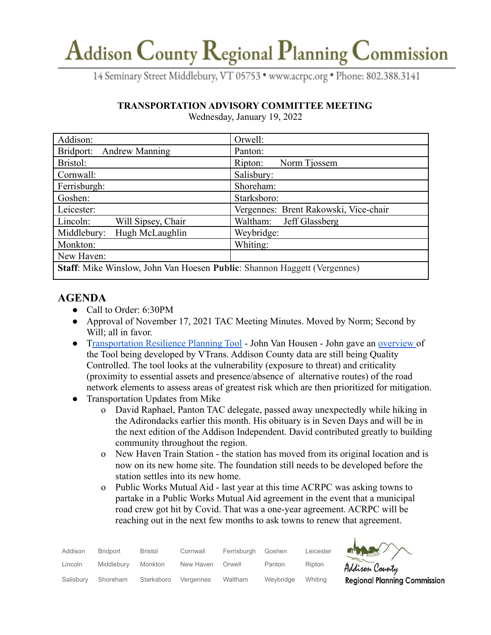## Addison County Regional Planning Commission

14 Seminary Street Middlebury, VT 05753 · www.acrpc.org · Phone: 802.388.3141

### **TRANSPORTATION ADVISORY COMMITTEE MEETING**

| Addison:                                                                        | Orwell:                               |  |  |  |
|---------------------------------------------------------------------------------|---------------------------------------|--|--|--|
| Bridport: Andrew Manning                                                        | Panton:                               |  |  |  |
| Bristol:                                                                        | Norm Tjossem<br>Ripton:               |  |  |  |
| Cornwall:                                                                       | Salisbury:                            |  |  |  |
| Ferrisburgh:                                                                    | Shoreham:                             |  |  |  |
| Goshen:                                                                         | Starksboro:                           |  |  |  |
| Leicester:                                                                      | Vergennes: Brent Rakowski, Vice-chair |  |  |  |
| Will Sipsey, Chair<br>Lincoln:                                                  | Jeff Glassberg<br>Waltham:            |  |  |  |
| Hugh McLaughlin<br>Middlebury:                                                  | Weybridge:                            |  |  |  |
| Monkton:                                                                        | Whiting:                              |  |  |  |
| New Haven:                                                                      |                                       |  |  |  |
| <b>Staff:</b> Mike Winslow, John Van Hoesen Public: Shannon Haggett (Vergennes) |                                       |  |  |  |

Wednesday, January 19, 2022

## **AGENDA**

- Call to Order: 6:30PM
- Approval of November 17, 2021 TAC Meeting Minutes. Moved by Norm; Second by Will; all in favor.
- [Transportation Resilience Planning Tool](https://vtrans.vermont.gov/planning/transportation-resilience) John Van Housen John gave an [overview](https://acrpc.org/wp-content/uploads/2022/01/ACRPCTRPT_EMPGMeeting.pdf) of the Tool being developed by VTrans. Addison County data are still being Quality Controlled. The tool looks at the vulnerability (exposure to threat) and criticality (proximity to essential assets and presence/absence of alternative routes) of the road network elements to assess areas of greatest risk which are then prioritized for mitigation.
- Transportation Updates from Mike
	- o David Raphael, Panton TAC delegate, passed away unexpectedly while hiking in the Adirondacks earlier this month. His obituary is in Seven Days and will be in the next edition of the Addison Independent. David contributed greatly to building community throughout the region.
	- o New Haven Train Station the station has moved from its original location and is now on its new home site. The foundation still needs to be developed before the station settles into its new home.
	- o Public Works Mutual Aid last year at this time ACRPC was asking towns to partake in a Public Works Mutual Aid agreement in the event that a municipal road crew got hit by Covid. That was a one-year agreement. ACRPC will be reaching out in the next few months to ask towns to renew that agreement.

| Addison   | Bridport   | Bristol    | Cornwall  | Ferrisburgh | Goshen    | Leicester |
|-----------|------------|------------|-----------|-------------|-----------|-----------|
| Lincoln   | Middlebury | Monkton    | New Haven | Orwell      | Panton    | Ripton    |
| Salisbury | Shoreham   | Starksboro | Vergennes | Waltham     | Weybridge | Whitina   |



Addison County **Regional Planning Commission**